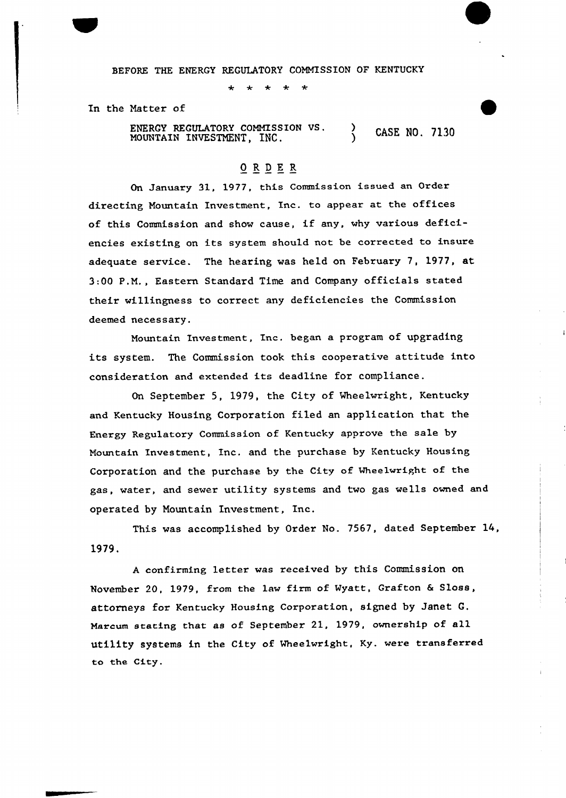BEFORE THE ENERGY REGULATORY COMMISSION OF KENTUCKY

In the Matter of

ENERGY REGULATORY COMMISSION VS. ENERGY REGULATORY COMMISSION VS. (ASE NO. 7130)

## ORDER

On January 31, 1977, this Commission issued an Order directing Mountain Investment, Inc. to appeax at the offices of this Commission and show cause, if any, why various deficiencies existing on its system should not be corrected to insure adequate service. The hearing was held on February 7, 1977, at 3:QQ P.M., Eastern Standard Time and Company officials stated their willingness to correct any deficiencies the Commission deemed necessary.

Mountain Investment, Inc. began a program of upgrading its system. The Commission took this cooperative attitude into consideration and extended its deadline for compliance.

On September 5, 1979, the City of Mheelwright, Kentucky and Kentucky Housing Corporation filed an application that the Energy Regulatory Commission of Kentucky approve the sale by Mountain Investment, Inc. and the purchase by Kentucky Housing Corporation and the purchase by the City of Wheelwright of the gas, water, and sewer utility systems and two gas wells owned and operated by Mountain Investment, Inc.

This was accomplished by Order No. 7567, dated September 14, 1979.

<sup>A</sup> confirming letter was xeceived by this Commission on November 20, 1979, from the law firm of Wyatt, Grafton & Sloss, attorneys for Kentucky Housing Corporation, signed by Janet G. Marcum stating chat as of September 21, 1979, ownexship of all utility systems in the City of Mheelwright, Ky. were transferred to the City.